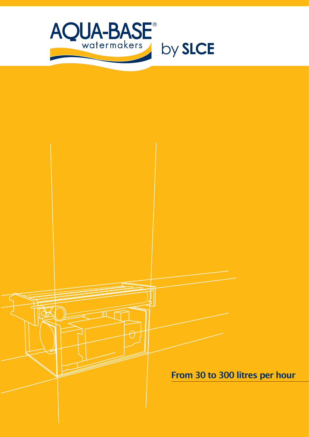

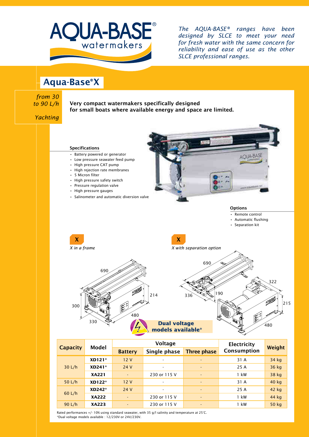

*The AQUA-BASE® ranges have been designed by SLCE to meet your need for fresh water with the same concern for reliability and ease of use as the other SLCE professional ranges.*

Aqua-Base®X

**Ty** *from 30 to 90 L/h*

Very compact watermakers specifically designed for small boats where available energy and space are limited.



|  | <b>Capacity</b> | <b>Model</b> |                          | • • • • • • •            | <b>LIECUTCILY</b>        |             |        |
|--|-----------------|--------------|--------------------------|--------------------------|--------------------------|-------------|--------|
|  |                 |              | <b>Battery</b>           | Single phase             | <b>Three phase</b>       | Consumption | Weight |
|  | 30 L/h          | $XD121*$     | 12V                      | $\overline{\phantom{a}}$ | ٠                        | 31 A        | 34 kg  |
|  |                 | $XD241*$     | 24 V                     | $\overline{\phantom{a}}$ | $\overline{\phantom{0}}$ | 25 A        | 36 kg  |
|  |                 | <b>XA221</b> | $\overline{a}$           | 230 or 115 V             | $\overline{\phantom{0}}$ | 1 kW        | 38 kg  |
|  | 50 $L/h$        | XD122*       | 12V                      |                          | $\overline{\phantom{0}}$ | 31 A        | 40 kg  |
|  | 60 L/h          | $XD242*$     | 24 V                     | $\overline{\phantom{0}}$ |                          | 25 A        | 42 kg  |
|  |                 | <b>XA222</b> | $\overline{\phantom{a}}$ | 230 or 115 V             | ٠                        | 1 kW        | 44 kg  |
|  | 90 $L/h$        | <b>XA223</b> | $\overline{\phantom{a}}$ | 230 or 115 V             | $\overline{\phantom{0}}$ | 1 kW        | 50 kg  |
|  |                 |              |                          |                          |                          |             |        |

Rated performances +/- 10% using standard seawater, with 35 g/l salinity and temperature at 25°C. \*Dual voltage models available : 12/230V or 24V/230V.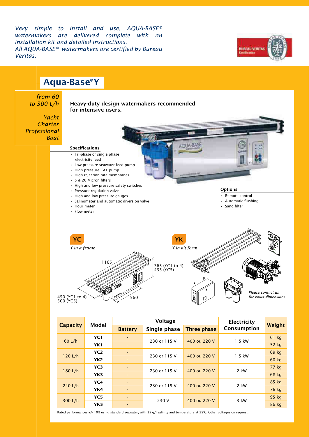*Very simple to install and use, AQUA-BASE® watermakers are delivered complete with an installation kit and detailed instructions. All AQUA-BASE® watermakers are certified by Bureau Veritas.*





Rated performances +/- 10% using standard seawater, with 35 g/l salinity and temperature at 25°C. Other voltages on request.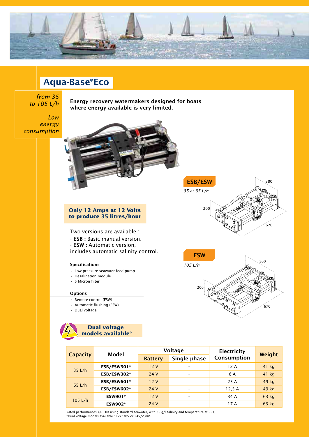

# Aqua-Base®Eco

## **Ty-***from 35 to 105 L/h*

*Low energy consumption*

Energy recovery watermakers designed for boats where energy available is very limited.



#### **Only 12 Amps at 12 Volts to produce 35 litres/hour**

Two versions are available :

- ESB : Basic manual version.
- ESW : Automatic version,

includes automatic salinity control.

#### Specifications

- Low-pressure seawater feed pump
- Desalination module
- 5 Micron filter

#### **Options**

- Remote control (ESW)
- Automatic flushing (ESW)
- Dual voltage



|                 | Model          | Voltage        |                          | <b>Electricity</b> |         |
|-----------------|----------------|----------------|--------------------------|--------------------|---------|
| <b>Capacity</b> |                | <b>Battery</b> | Single phase             | Consumption        | Weight  |
|                 | ESB/ESW301*    | 12V            | $\overline{\phantom{a}}$ | 12 A               | $41$ kg |
| 35 L/h          | ESB/ESW302*    | 24 V           | -                        | 6 A                | $41$ kg |
|                 | ESB/ESW601*    | 12V            | $\overline{\phantom{a}}$ | 25 A               | 49 kg   |
| 65 L/h          | ESB/ESW602*    | 24 V           | $\overline{\phantom{a}}$ | 12,5A              | 49 kg   |
|                 | <b>ESW901*</b> | 12V            | -                        | 34 A               | 63 kg   |
| 105 L/h         | <b>ESW902*</b> | 24 V           | $\overline{\phantom{a}}$ | 17 A               | 63 kg   |

200

*35 et 65 L/h* ESB/ESW

200

**ESW** 

*105 L/h*

380

670

500

 $670$ 

Rated performances +/- 10% using standard seawater, with 35 g/l salinity and temperature at 25°C. \*Dual voltage models available : 12/230V or 24V/230V.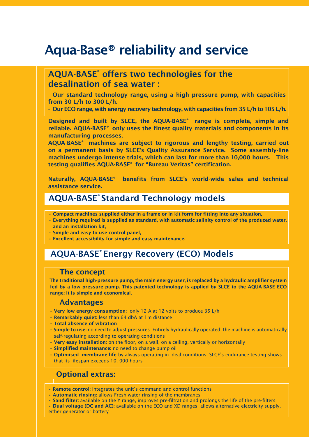# Aqua-Base® reliability and service

## AQUA-BASE<sup>®</sup> offers two technologies for the desalination of sea water :

- Our standard technology range, using a high pressure pump, with capacities from 30 L/h to 300 L/h.

- Our ECO range, with energy recovery technology, with capacities from 35 L/h to 105 L/h.

Designed and built by SLCE, the AQUA-BASE® range is complete, simple and reliable. AQUA-BASE® only uses the finest quality materials and components in its manufacturing processes.

AQUA-BASE® machines are subject to rigorous and lengthy testing, carried out on a permanent basis by SLCE's Quality Assurance Service. Some assembly-line machines undergo intense trials, which can last for more than 10,000 hours. This testing qualifies AQUA-BASE® for "Bureau Veritas" certification.

Naturally, AQUA-BASE® benefits from SLCE's world-wide sales and technical assistance service.

## AQUA-BASE® Standard Technology models

- Compact machines supplied either in a frame or in kit form for fitting into any situation,
- Everything required is supplied as standard, with automatic salinity control of the produced water, and an installation kit,
- Simple and easy to use control panel,
- Excellent accessibility for simple and easy maintenance.

## AQUA-BASE® Energy Recovery (ECO) Models

#### The concept

The traditional high-pressure pump, the main energy user, is replaced by a hydraulic amplifier system fed by a low pressure pump. This patented technology is applied by SLCE to the AQUA-BASE ECO range: it is simple and economical.

### Advantages

- Very low energy consumption: only 12 A at 12 volts to produce 35 L/h
- Remarkably quiet: less than 64 dbA at 1m distance
- Total absence of vibration
- Simple to use: no need to adjust pressures. Entirely hydraulically operated, the machine is automatically self-regulating according to operating conditions
- Very easy installation: on the floor, on a wall, on a ceiling, vertically or horizontally
- Simplified maintenance: no need to change pump oil
- Optimised membrane life by always operating in ideal conditions: SLCE's endurance testing shows that its lifespan exceeds 10, 000 hours

## Optional extras:

- Remote control: integrates the unit's command and control functions
- Automatic rinsing: allows Fresh water rinsing of the membranes
- Sand filter: available on the Y range, improves pre-filtration and prolongs the life of the pre-filters
- Dual voltage (DC and AC): available on the ECO and XD ranges, allows alternative electricity supply, either generator or battery